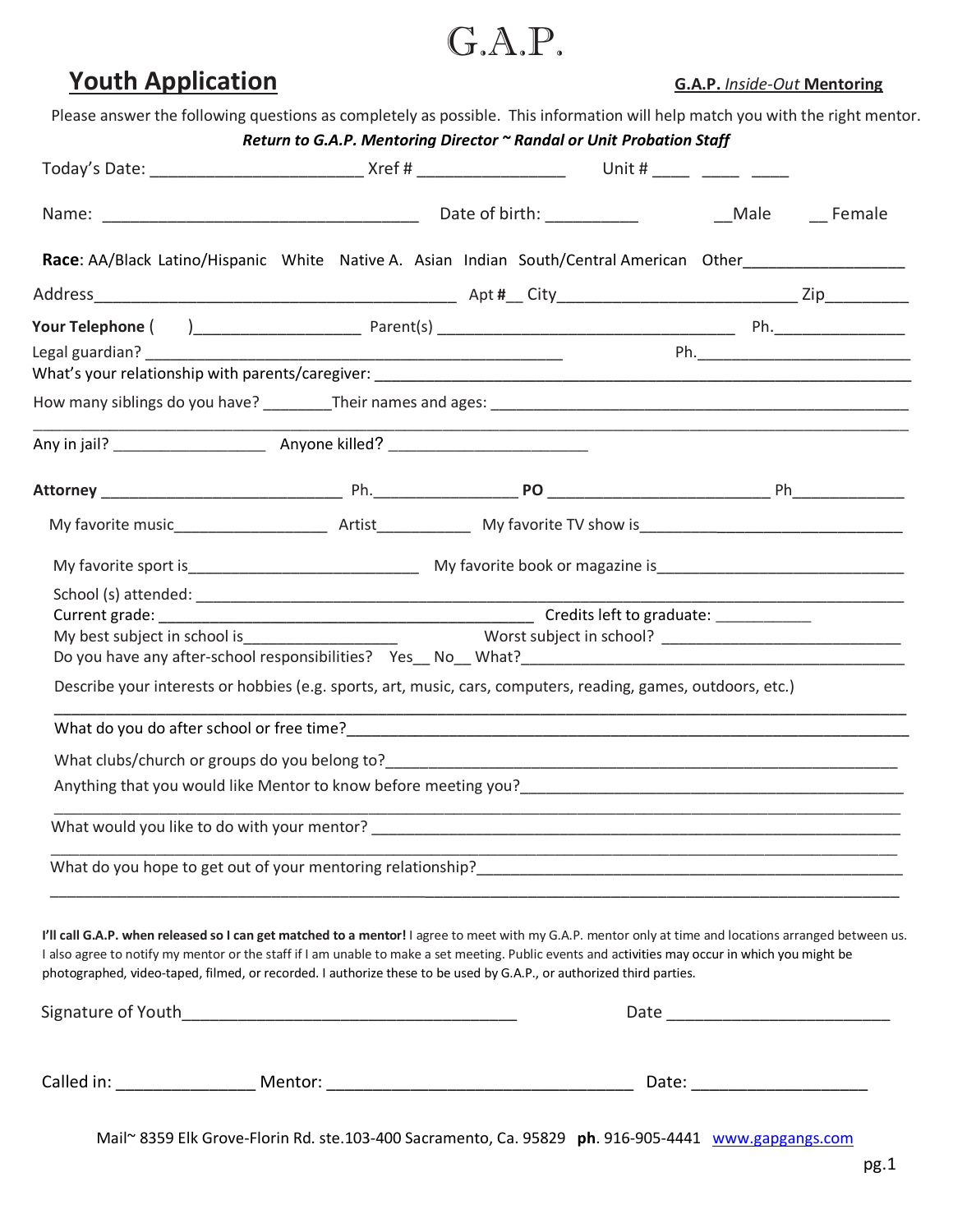## G.A.P.

## **Youth Application G.A.P.** *Inside-Out* **Mentoring**

Please answer the following questions as completely as possible. This information will help match you with the right mentor.

|                                                                                                                                                                                                                                                                                                                                                                                                                                    | Return to G.A.P. Mentoring Director ~ Randal or Unit Probation Staff |  |  |                               |  |
|------------------------------------------------------------------------------------------------------------------------------------------------------------------------------------------------------------------------------------------------------------------------------------------------------------------------------------------------------------------------------------------------------------------------------------|----------------------------------------------------------------------|--|--|-------------------------------|--|
|                                                                                                                                                                                                                                                                                                                                                                                                                                    |                                                                      |  |  |                               |  |
|                                                                                                                                                                                                                                                                                                                                                                                                                                    |                                                                      |  |  |                               |  |
| Race: AA/Black Latino/Hispanic White Native A. Asian Indian South/Central American Other_____________________                                                                                                                                                                                                                                                                                                                      |                                                                      |  |  |                               |  |
|                                                                                                                                                                                                                                                                                                                                                                                                                                    |                                                                      |  |  |                               |  |
|                                                                                                                                                                                                                                                                                                                                                                                                                                    |                                                                      |  |  |                               |  |
|                                                                                                                                                                                                                                                                                                                                                                                                                                    |                                                                      |  |  |                               |  |
|                                                                                                                                                                                                                                                                                                                                                                                                                                    |                                                                      |  |  |                               |  |
|                                                                                                                                                                                                                                                                                                                                                                                                                                    |                                                                      |  |  |                               |  |
|                                                                                                                                                                                                                                                                                                                                                                                                                                    |                                                                      |  |  |                               |  |
|                                                                                                                                                                                                                                                                                                                                                                                                                                    |                                                                      |  |  |                               |  |
|                                                                                                                                                                                                                                                                                                                                                                                                                                    |                                                                      |  |  |                               |  |
|                                                                                                                                                                                                                                                                                                                                                                                                                                    |                                                                      |  |  |                               |  |
|                                                                                                                                                                                                                                                                                                                                                                                                                                    |                                                                      |  |  |                               |  |
|                                                                                                                                                                                                                                                                                                                                                                                                                                    |                                                                      |  |  |                               |  |
| My best subject in school is many control of the state of the state of the state of the state of the state of the state of the state of the state of the state of the state of the state of the state of the state of the stat                                                                                                                                                                                                     |                                                                      |  |  |                               |  |
| Describe your interests or hobbies (e.g. sports, art, music, cars, computers, reading, games, outdoors, etc.)                                                                                                                                                                                                                                                                                                                      |                                                                      |  |  |                               |  |
|                                                                                                                                                                                                                                                                                                                                                                                                                                    |                                                                      |  |  |                               |  |
|                                                                                                                                                                                                                                                                                                                                                                                                                                    |                                                                      |  |  |                               |  |
|                                                                                                                                                                                                                                                                                                                                                                                                                                    |                                                                      |  |  |                               |  |
|                                                                                                                                                                                                                                                                                                                                                                                                                                    |                                                                      |  |  |                               |  |
| What would you like to do with your mentor?                                                                                                                                                                                                                                                                                                                                                                                        |                                                                      |  |  |                               |  |
|                                                                                                                                                                                                                                                                                                                                                                                                                                    |                                                                      |  |  |                               |  |
| I'll call G.A.P. when released so I can get matched to a mentor! I agree to meet with my G.A.P. mentor only at time and locations arranged between us.<br>I also agree to notify my mentor or the staff if I am unable to make a set meeting. Public events and activities may occur in which you might be<br>photographed, video-taped, filmed, or recorded. I authorize these to be used by G.A.P., or authorized third parties. |                                                                      |  |  |                               |  |
|                                                                                                                                                                                                                                                                                                                                                                                                                                    |                                                                      |  |  | Date: _______________________ |  |

Mail~ 8359 Elk Grove-Florin Rd. ste.103-400 Sacramento, Ca. 95829 **ph**. 916-905-4441 www.gapgangs.com